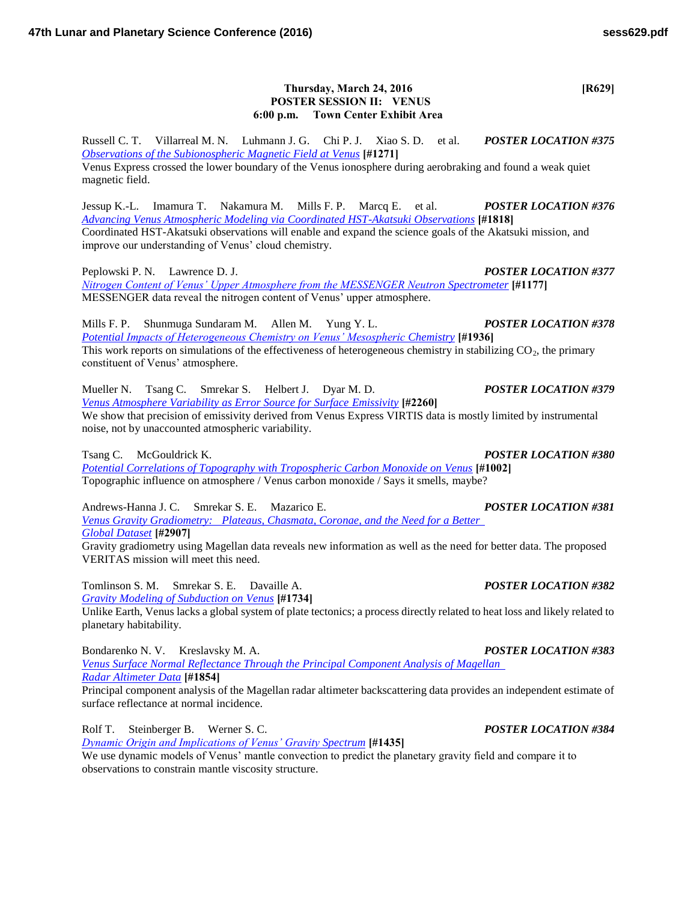## **Thursday, March 24, 2016 [R629] POSTER SESSION II: VENUS 6:00 p.m. Town Center Exhibit Area**

Russell C. T. Villarreal M. N. Luhmann J. G. Chi P. J. Xiao S. D. et al. *POSTER LOCATION #375 [Observations of the Subionospheric Magnetic Field at Venus](http://www.hou.usra.edu/meetings/lpsc2016/pdf/1271.pdf)* **[#1271]**

Venus Express crossed the lower boundary of the Venus ionosphere during aerobraking and found a weak quiet magnetic field.

Jessup K.-L. Imamura T. Nakamura M. Mills F. P. Marcq E. et al. *POSTER LOCATION #376 [Advancing Venus Atmospheric Modeling via Coordinated HST-Akatsuki Observations](http://www.hou.usra.edu/meetings/lpsc2016/pdf/1818.pdf)* **[#1818]** Coordinated HST-Akatsuki observations will enable and expand the science goals of the Akatsuki mission, and improve our understanding of Venus' cloud chemistry.

Peplowski P. N. Lawrence D. J. *POSTER LOCATION #377 [Nitrogen Content of Venus' Upper Atmosphere from the MESSENGER Neutron Spectrometer](http://www.hou.usra.edu/meetings/lpsc2016/pdf/1177.pdf)* **[#1177]** MESSENGER data reveal the nitrogen content of Venus' upper atmosphere.

Mills F. P. Shunmuga Sundaram M. Allen M. Yung Y. L. *POSTER LOCATION #378 [Potential Impacts of Heterogeneous Chemistry on Venus' Mesospheric Chemistry](http://www.hou.usra.edu/meetings/lpsc2016/pdf/1936.pdf)* **[#1936]** This work reports on simulations of the effectiveness of heterogeneous chemistry in stabilizing  $CO<sub>2</sub>$ , the primary constituent of Venus' atmosphere.

Mueller N. Tsang C. Smrekar S. Helbert J. Dyar M. D. *POSTER LOCATION #379 [Venus Atmosphere Variability as Error Source for Surface Emissivity](http://www.hou.usra.edu/meetings/lpsc2016/pdf/2260.pdf)* **[#2260]** We show that precision of emissivity derived from Venus Express VIRTIS data is mostly limited by instrumental noise, not by unaccounted atmospheric variability.

Tsang C. McGouldrick K. *POSTER LOCATION #380*

*[Potential Correlations of Topography with Tropospheric Carbon Monoxide on Venus](http://www.hou.usra.edu/meetings/lpsc2016/pdf/1002.pdf)* **[#1002]** Topographic influence on atmosphere / Venus carbon monoxide / Says it smells, maybe?

Andrews-Hanna J. C. Smrekar S. E. Mazarico E. *POSTER LOCATION #381 [Venus Gravity Gradiometry: Plateaus, Chasmata, Coronae, and the Need for a Better](http://www.hou.usra.edu/meetings/lpsc2016/pdf/2907.pdf)  [Global Dataset](http://www.hou.usra.edu/meetings/lpsc2016/pdf/2907.pdf)* **[#2907]**

Gravity gradiometry using Magellan data reveals new information as well as the need for better data. The proposed VERITAS mission will meet this need.

Tomlinson S. M. Smrekar S. E. Davaille A. *POSTER LOCATION #382 [Gravity Modeling of Subduction on Venus](http://www.hou.usra.edu/meetings/lpsc2016/pdf/1734.pdf)* **[#1734]**

Unlike Earth, Venus lacks a global system of plate tectonics; a process directly related to heat loss and likely related to planetary habitability.

Bondarenko N. V. Kreslavsky M. A. *POSTER LOCATION #383*

*[Venus Surface Normal Reflectance Through the Principal Component Analysis of Magellan](http://www.hou.usra.edu/meetings/lpsc2016/pdf/1854.pdf)  [Radar Altimeter Data](http://www.hou.usra.edu/meetings/lpsc2016/pdf/1854.pdf)* **[#1854]**

Principal component analysis of the Magellan radar altimeter backscattering data provides an independent estimate of surface reflectance at normal incidence.

Rolf T. Steinberger B. Werner S. C. *POSTER LOCATION #384*

*[Dynamic Origin and Implications of Venus' Gravity Spectrum](http://www.hou.usra.edu/meetings/lpsc2016/pdf/1435.pdf)* **[#1435]**

We use dynamic models of Venus' mantle convection to predict the planetary gravity field and compare it to observations to constrain mantle viscosity structure.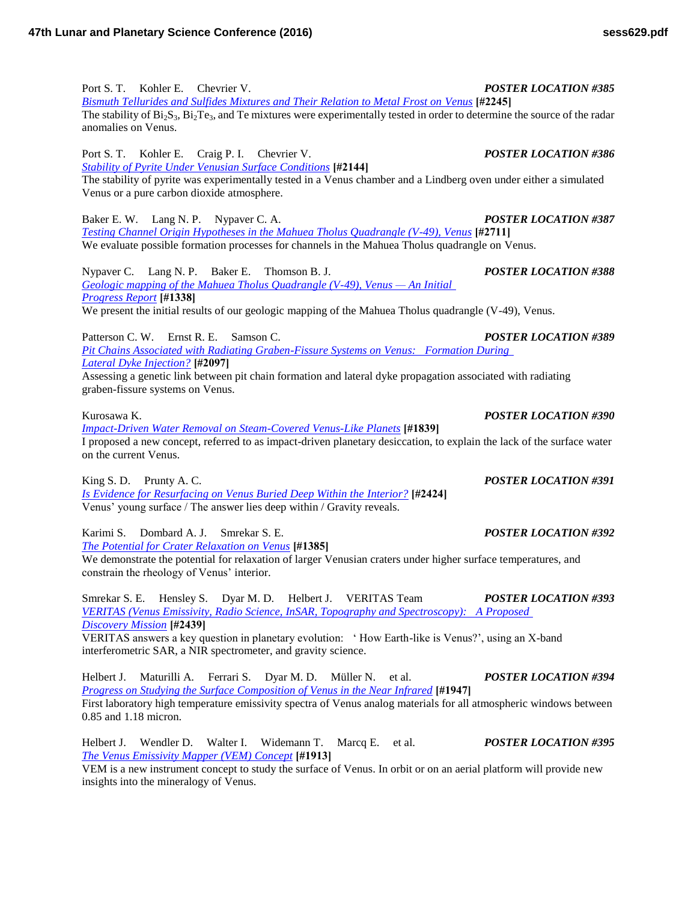Port S. T. Kohler E. Chevrier V. *POSTER LOCATION #385 [Bismuth Tellurides and Sulfides Mixtures and Their Relation to Metal Frost on Venus](http://www.hou.usra.edu/meetings/lpsc2016/pdf/2245.pdf)* **[#2245]** The stability of  $Bi_2S_3$ ,  $Bi_2Te_3$ , and Te mixtures were experimentally tested in order to determine the source of the radar anomalies on Venus. Port S. T. Kohler E. Craig P. I. Chevrier V. *POSTER LOCATION #386 [Stability of Pyrite Under Venusian Surface Conditions](http://www.hou.usra.edu/meetings/lpsc2016/pdf/2144.pdf)* **[#2144]**

The stability of pyrite was experimentally tested in a Venus chamber and a Lindberg oven under either a simulated Venus or a pure carbon dioxide atmosphere.

Baker E. W. Lang N. P. Nypaver C. A. *POSTER LOCATION #387 [Testing Channel Origin Hypotheses in the Mahuea Tholus Quadrangle \(V-49\), Venus](http://www.hou.usra.edu/meetings/lpsc2016/pdf/2711.pdf)* **[#2711]** We evaluate possible formation processes for channels in the Mahuea Tholus quadrangle on Venus.

Nypaver C. Lang N. P. Baker E. Thomson B. J. *POSTER LOCATION #388 [Geologic mapping of the Mahuea Tholus Quadrangle \(V-49\), Venus — An Initial](http://www.hou.usra.edu/meetings/lpsc2016/pdf/1338.pdf)  [Progress Report](http://www.hou.usra.edu/meetings/lpsc2016/pdf/1338.pdf)* **[#1338]** We present the initial results of our geologic mapping of the Mahuea Tholus quadrangle (V-49), Venus.

Patterson C. W. Ernst R. E. Samson C. *POSTER LOCATION #389 [Pit Chains Associated with Radiating Graben-Fissure Systems on Venus: Formation During](http://www.hou.usra.edu/meetings/lpsc2016/pdf/2097.pdf)  [Lateral Dyke Injection?](http://www.hou.usra.edu/meetings/lpsc2016/pdf/2097.pdf)* **[#2097]**

Assessing a genetic link between pit chain formation and lateral dyke propagation associated with radiating graben-fissure systems on Venus.

*[Impact-Driven Water Removal on Steam-Covered Venus-Like Planets](http://www.hou.usra.edu/meetings/lpsc2016/pdf/1839.pdf)* **[#1839]** I proposed a new concept, referred to as impact-driven planetary desiccation, to explain the lack of the surface water on the current Venus.

King S. D. Prunty A. C. *POSTER LOCATION #391 [Is Evidence for Resurfacing on Venus Buried Deep Within the Interior?](http://www.hou.usra.edu/meetings/lpsc2016/pdf/2424.pdf)* **[#2424]** Venus' young surface / The answer lies deep within / Gravity reveals.

Karimi S. Dombard A. J. Smrekar S. E. *POSTER LOCATION #392 [The Potential for Crater Relaxation on Venus](http://www.hou.usra.edu/meetings/lpsc2016/pdf/1385.pdf)* **[#1385]** We demonstrate the potential for relaxation of larger Venusian craters under higher surface temperatures, and constrain the rheology of Venus' interior.

Smrekar S. E. Hensley S. Dyar M. D. Helbert J. VERITAS Team *POSTER LOCATION #393 [VERITAS \(Venus Emissivity, Radio Science, InSAR, Topography and Spectroscopy\): A Proposed](http://www.hou.usra.edu/meetings/lpsc2016/pdf/2439.pdf)  [Discovery Mission](http://www.hou.usra.edu/meetings/lpsc2016/pdf/2439.pdf)* **[#2439]**

VERITAS answers a key question in planetary evolution: ' How Earth-like is Venus?', using an X-band interferometric SAR, a NIR spectrometer, and gravity science.

Helbert J. Maturilli A. Ferrari S. Dyar M. D. Müller N. et al. *POSTER LOCATION #394 [Progress on Studying the Surface Composition of Venus in the Near Infrared](http://www.hou.usra.edu/meetings/lpsc2016/pdf/1947.pdf)* **[#1947]** First laboratory high temperature emissivity spectra of Venus analog materials for all atmospheric windows between 0.85 and 1.18 micron.

Helbert J. Wendler D. Walter I. Widemann T. Marcq E. et al. *POSTER LOCATION #395 [The Venus Emissivity Mapper \(VEM\) Concept](http://www.hou.usra.edu/meetings/lpsc2016/pdf/1913.pdf)* **[#1913]**

VEM is a new instrument concept to study the surface of Venus. In orbit or on an aerial platform will provide new insights into the mineralogy of Venus.

Kurosawa K. *POSTER LOCATION #390*